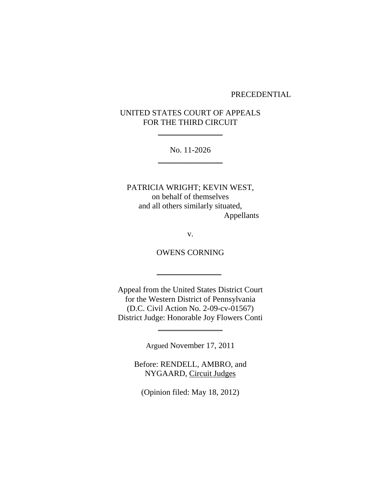#### PRECEDENTIAL

# UNITED STATES COURT OF APPEALS FOR THE THIRD CIRCUIT

 $\frac{1}{2}$ 

No. 11-2026  $\frac{1}{2}$ 

PATRICIA WRIGHT; KEVIN WEST, on behalf of themselves and all others similarly situated, Appellants

v.

OWENS CORNING

 $\overline{\phantom{a}}$  , and the set of the set of the set of the set of the set of the set of the set of the set of the set of the set of the set of the set of the set of the set of the set of the set of the set of the set of the s

Appeal from the United States District Court for the Western District of Pennsylvania (D.C. Civil Action No. 2-09-cv-01567) District Judge: Honorable Joy Flowers Conti

Argued November 17, 2011

\_\_\_\_\_\_\_\_\_\_\_\_\_\_\_\_

Before: RENDELL, AMBRO, and NYGAARD, Circuit Judges

(Opinion filed: May 18, 2012)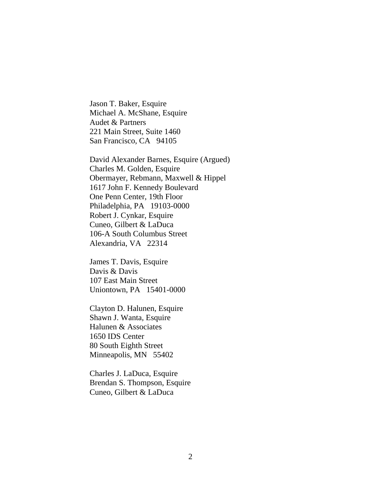Jason T. Baker, Esquire Michael A. McShane, Esquire Audet & Partners 221 Main Street, Suite 1460 San Francisco, CA 94105

David Alexander Barnes, Esquire (Argued) Charles M. Golden, Esquire Obermayer, Rebmann, Maxwell & Hippel 1617 John F. Kennedy Boulevard One Penn Center, 19th Floor Philadelphia, PA 19103-0000 Robert J. Cynkar, Esquire Cuneo, Gilbert & LaDuca 106-A South Columbus Street Alexandria, VA 22314

James T. Davis, Esquire Davis & Davis 107 East Main Street Uniontown, PA 15401-0000

Clayton D. Halunen, Esquire Shawn J. Wanta, Esquire Halunen & Associates 1650 IDS Center 80 South Eighth Street Minneapolis, MN 55402

Charles J. LaDuca, Esquire Brendan S. Thompson, Esquire Cuneo, Gilbert & LaDuca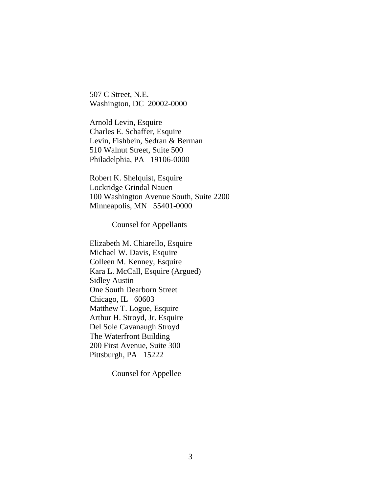507 C Street, N.E. Washington, DC 20002-0000

Arnold Levin, Esquire Charles E. Schaffer, Esquire Levin, Fishbein, Sedran & Berman 510 Walnut Street, Suite 500 Philadelphia, PA 19106-0000

Robert K. Shelquist, Esquire Lockridge Grindal Nauen 100 Washington Avenue South, Suite 2200 Minneapolis, MN 55401-0000

Counsel for Appellants

Elizabeth M. Chiarello, Esquire Michael W. Davis, Esquire Colleen M. Kenney, Esquire Kara L. McCall, Esquire (Argued) Sidley Austin One South Dearborn Street Chicago, IL 60603 Matthew T. Logue, Esquire Arthur H. Stroyd, Jr. Esquire Del Sole Cavanaugh Stroyd The Waterfront Building 200 First Avenue, Suite 300 Pittsburgh, PA 15222

Counsel for Appellee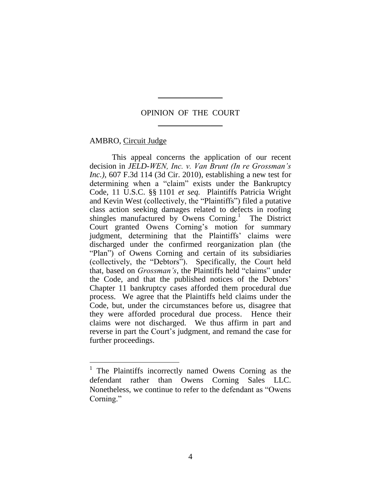## OPINION OF THE COURT \_\_\_\_\_\_\_\_\_\_\_\_\_\_\_\_

 $\overline{\phantom{a}}$ 

#### AMBRO, Circuit Judge

 $\overline{a}$ 

 This appeal concerns the application of our recent decision in *JELD-WEN, Inc. v. Van Brunt (In re Grossman's Inc.)*, 607 F.3d 114 (3d Cir. 2010), establishing a new test for determining when a "claim" exists under the Bankruptcy Code, 11 U.S.C. §§ 1101 *et seq.* Plaintiffs Patricia Wright and Kevin West (collectively, the "Plaintiffs") filed a putative class action seeking damages related to defects in roofing shingles manufactured by Owens Corning.<sup>1</sup> The District Court granted Owens Corning"s motion for summary judgment, determining that the Plaintiffs' claims were discharged under the confirmed reorganization plan (the "Plan") of Owens Corning and certain of its subsidiaries (collectively, the "Debtors"). Specifically, the Court held that, based on *Grossman's*, the Plaintiffs held "claims" under the Code, and that the published notices of the Debtors" Chapter 11 bankruptcy cases afforded them procedural due process. We agree that the Plaintiffs held claims under the Code, but, under the circumstances before us, disagree that they were afforded procedural due process. Hence their claims were not discharged. We thus affirm in part and reverse in part the Court's judgment, and remand the case for further proceedings.

<sup>1</sup> The Plaintiffs incorrectly named Owens Corning as the defendant rather than Owens Corning Sales LLC. Nonetheless, we continue to refer to the defendant as "Owens Corning."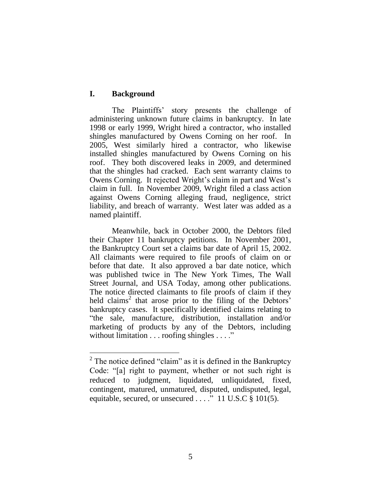## **I. Background**

The Plaintiffs" story presents the challenge of administering unknown future claims in bankruptcy. In late 1998 or early 1999, Wright hired a contractor, who installed shingles manufactured by Owens Corning on her roof. In 2005, West similarly hired a contractor, who likewise installed shingles manufactured by Owens Corning on his roof. They both discovered leaks in 2009, and determined that the shingles had cracked. Each sent warranty claims to Owens Corning. It rejected Wright's claim in part and West's claim in full. In November 2009, Wright filed a class action against Owens Corning alleging fraud, negligence, strict liability, and breach of warranty. West later was added as a named plaintiff.

Meanwhile, back in October 2000, the Debtors filed their Chapter 11 bankruptcy petitions. In November 2001, the Bankruptcy Court set a claims bar date of April 15, 2002. All claimants were required to file proofs of claim on or before that date. It also approved a bar date notice, which was published twice in The New York Times, The Wall Street Journal, and USA Today, among other publications. The notice directed claimants to file proofs of claim if they held claims<sup>2</sup> that arose prior to the filing of the Debtors<sup>3</sup> bankruptcy cases. It specifically identified claims relating to "the sale, manufacture, distribution, installation and/or marketing of products by any of the Debtors, including without limitation . . . roofing shingles . . . ."

 $2^2$  The notice defined "claim" as it is defined in the Bankruptcy Code: "[a] right to payment, whether or not such right is reduced to judgment, liquidated, unliquidated, fixed, contingent, matured, unmatured, disputed, undisputed, legal, equitable, secured, or unsecured  $\ldots$  ...  $\overline{11}$  U.S.C  $\overline{8}$  101(5).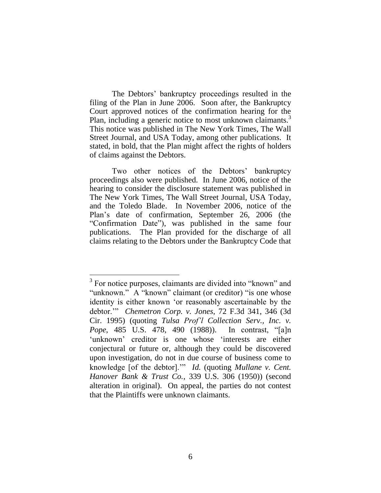The Debtors" bankruptcy proceedings resulted in the filing of the Plan in June 2006. Soon after, the Bankruptcy Court approved notices of the confirmation hearing for the Plan, including a generic notice to most unknown claimants.<sup>3</sup> This notice was published in The New York Times, The Wall Street Journal, and USA Today, among other publications. It stated, in bold, that the Plan might affect the rights of holders of claims against the Debtors.

Two other notices of the Debtors' bankruptcy proceedings also were published. In June 2006, notice of the hearing to consider the disclosure statement was published in The New York Times, The Wall Street Journal, USA Today, and the Toledo Blade. In November 2006, notice of the Plan"s date of confirmation, September 26, 2006 (the "Confirmation Date"), was published in the same four publications. The Plan provided for the discharge of all claims relating to the Debtors under the Bankruptcy Code that

<sup>&</sup>lt;sup>3</sup> For notice purposes, claimants are divided into "known" and "unknown." A "known" claimant (or creditor) "is one whose identity is either known "or reasonably ascertainable by the debtor."" *Chemetron Corp. v. Jones*, 72 F.3d 341, 346 (3d Cir. 1995) (quoting *Tulsa Prof'l Collection Serv., Inc. v. Pope*, 485 U.S. 478, 490 (1988)). In contrast, "[a]n 'unknown' creditor is one whose 'interests are either conjectural or future or, although they could be discovered upon investigation, do not in due course of business come to knowledge [of the debtor]."" *Id.* (quoting *Mullane v. Cent. Hanover Bank & Trust Co.*, 339 U.S. 306 (1950)) (second alteration in original). On appeal, the parties do not contest that the Plaintiffs were unknown claimants.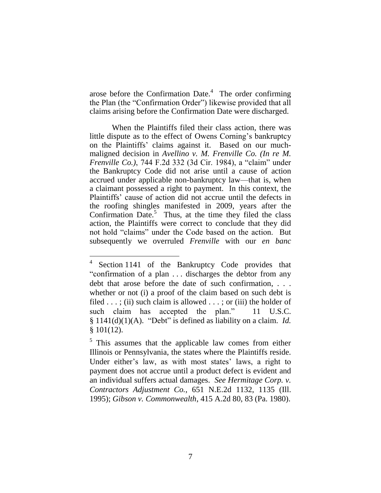arose before the Confirmation Date. $4$  The order confirming the Plan (the "Confirmation Order") likewise provided that all claims arising before the Confirmation Date were discharged.

When the Plaintiffs filed their class action, there was little dispute as to the effect of Owens Corning's bankruptcy on the Plaintiffs" claims against it. Based on our muchmaligned decision in *Avellino v. M. Frenville Co. (In re M. Frenville Co.)*, 744 F.2d 332 (3d Cir. 1984), a "claim" under the Bankruptcy Code did not arise until a cause of action accrued under applicable non-bankruptcy law—that is, when a claimant possessed a right to payment. In this context, the Plaintiffs" cause of action did not accrue until the defects in the roofing shingles manifested in 2009, years after the Confirmation Date. $5$  Thus, at the time they filed the class action, the Plaintiffs were correct to conclude that they did not hold "claims" under the Code based on the action. But subsequently we overruled *Frenville* with our *en banc*

 $\overline{a}$ 

<sup>4</sup> Section 1141 of the Bankruptcy Code provides that "confirmation of a plan . . . discharges the debtor from any debt that arose before the date of such confirmation, . . . whether or not (i) a proof of the claim based on such debt is filed  $\dots$ ; (ii) such claim is allowed  $\dots$ ; or (iii) the holder of such claim has accepted the plan." 11 U.S.C. § 1141(d)(1)(A). "Debt" is defined as liability on a claim. *Id.* § 101(12).

<sup>&</sup>lt;sup>5</sup> This assumes that the applicable law comes from either Illinois or Pennsylvania, the states where the Plaintiffs reside. Under either's law, as with most states' laws, a right to payment does not accrue until a product defect is evident and an individual suffers actual damages. *See Hermitage Corp. v. Contractors Adjustment Co.*, 651 N.E.2d 1132, 1135 (Ill. 1995); *Gibson v. Commonwealth*, 415 A.2d 80, 83 (Pa. 1980).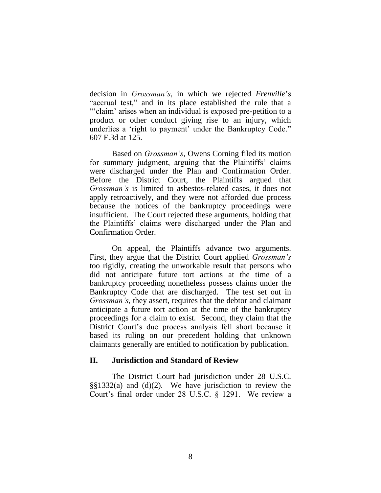decision in *Grossman's*, in which we rejected *Frenville*"s "accrual test," and in its place established the rule that a ""claim" arises when an individual is exposed pre-petition to a product or other conduct giving rise to an injury, which underlies a 'right to payment' under the Bankruptcy Code." 607 F.3d at 125.

Based on *Grossman's*, Owens Corning filed its motion for summary judgment, arguing that the Plaintiffs" claims were discharged under the Plan and Confirmation Order. Before the District Court, the Plaintiffs argued that *Grossman's* is limited to asbestos-related cases, it does not apply retroactively, and they were not afforded due process because the notices of the bankruptcy proceedings were insufficient. The Court rejected these arguments, holding that the Plaintiffs" claims were discharged under the Plan and Confirmation Order.

On appeal, the Plaintiffs advance two arguments. First, they argue that the District Court applied *Grossman's* too rigidly, creating the unworkable result that persons who did not anticipate future tort actions at the time of a bankruptcy proceeding nonetheless possess claims under the Bankruptcy Code that are discharged. The test set out in *Grossman's*, they assert, requires that the debtor and claimant anticipate a future tort action at the time of the bankruptcy proceedings for a claim to exist. Second, they claim that the District Court's due process analysis fell short because it based its ruling on our precedent holding that unknown claimants generally are entitled to notification by publication.

### **II. Jurisdiction and Standard of Review**

The District Court had jurisdiction under 28 U.S.C. §§1332(a) and (d)(2). We have jurisdiction to review the Court's final order under 28 U.S.C. § 1291. We review a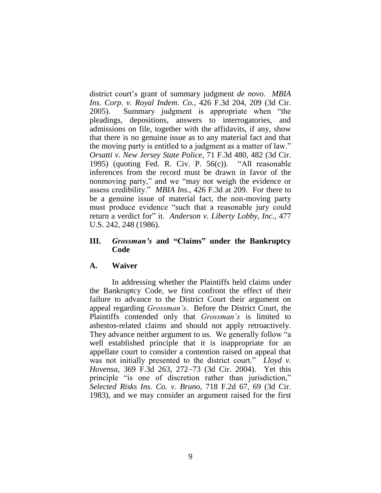district court"s grant of summary judgment *de novo*. *MBIA Ins. Corp. v. Royal Indem. Co.*, 426 F.3d 204, 209 (3d Cir. 2005). Summary judgment is appropriate when "the pleadings, depositions, answers to interrogatories, and admissions on file, together with the affidavits, if any, show that there is no genuine issue as to any material fact and that the moving party is entitled to a judgment as a matter of law." *Orsatti v. New Jersey State Police*, 71 F.3d 480, 482 (3d Cir. 1995) (quoting Fed. R. Civ. P. 56(c)). "All reasonable inferences from the record must be drawn in favor of the nonmoving party," and we "may not weigh the evidence or assess credibility." *MBIA Ins.*, 426 F.3d at 209. For there to be a genuine issue of material fact, the non-moving party must produce evidence "such that a reasonable jury could return a verdict for" it. *Anderson v. Liberty Lobby, Inc.*, 477 U.S. 242, 248 (1986).

### **III.** *Grossman's* **and "Claims" under the Bankruptcy Code**

### **A. Waiver**

In addressing whether the Plaintiffs held claims under the Bankruptcy Code, we first confront the effect of their failure to advance to the District Court their argument on appeal regarding *Grossman's*. Before the District Court, the Plaintiffs contended only that *Grossman's* is limited to asbestos-related claims and should not apply retroactively. They advance neither argument to us. We generally follow "a well established principle that it is inappropriate for an appellate court to consider a contention raised on appeal that was not initially presented to the district court." *Lloyd v. Hovensa*, 369 F.3d 263, 272-73 (3d Cir. 2004). Yet this principle "is one of discretion rather than jurisdiction," *Selected Risks Ins. Co. v. Bruno*, 718 F.2d 67, 69 (3d Cir. 1983), and we may consider an argument raised for the first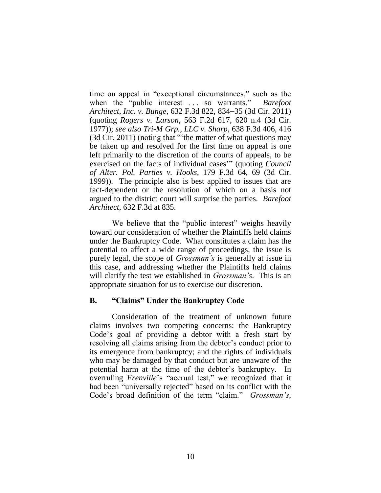time on appeal in "exceptional circumstances," such as the when the "public interest . . . so warrants." *Barefoot Architect, Inc. v. Bunge, 632 F.3d 822, 834–35 (3d Cir. 2011)* (quoting *Rogers v. Larson*, 563 F.2d 617, 620 n.4 (3d Cir. 1977)); *see also Tri-M Grp., LLC v. Sharp*, 638 F.3d 406, 416 (3d Cir. 2011) (noting that ""the matter of what questions may be taken up and resolved for the first time on appeal is one left primarily to the discretion of the courts of appeals, to be exercised on the facts of individual cases" (quoting *Council of Alter. Pol. Parties v. Hooks*, 179 F.3d 64, 69 (3d Cir. 1999)). The principle also is best applied to issues that are fact-dependent or the resolution of which on a basis not argued to the district court will surprise the parties. *Barefoot Architect*, 632 F.3d at 835.

We believe that the "public interest" weighs heavily toward our consideration of whether the Plaintiffs held claims under the Bankruptcy Code. What constitutes a claim has the potential to affect a wide range of proceedings, the issue is purely legal, the scope of *Grossman's* is generally at issue in this case, and addressing whether the Plaintiffs held claims will clarify the test we established in *Grossman's*. This is an appropriate situation for us to exercise our discretion.

### **B. "Claims" Under the Bankruptcy Code**

Consideration of the treatment of unknown future claims involves two competing concerns: the Bankruptcy Code"s goal of providing a debtor with a fresh start by resolving all claims arising from the debtor's conduct prior to its emergence from bankruptcy; and the rights of individuals who may be damaged by that conduct but are unaware of the potential harm at the time of the debtor"s bankruptcy. In overruling *Frenville*"s "accrual test," we recognized that it had been "universally rejected" based on its conflict with the Code"s broad definition of the term "claim." *Grossman's*,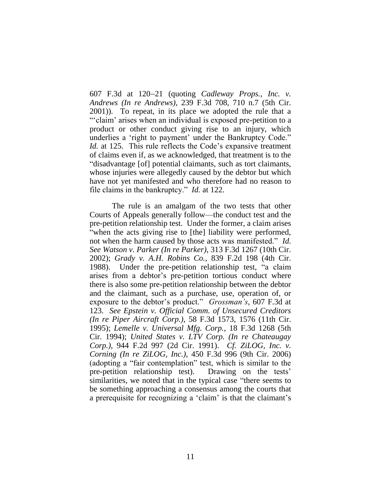607 F.3d at 120–21 (quoting *Cadleway Props., Inc. v. Andrews (In re Andrews)*, 239 F.3d 708, 710 n.7 (5th Cir. 2001)). To repeat, in its place we adopted the rule that a ""claim" arises when an individual is exposed pre-petition to a product or other conduct giving rise to an injury, which underlies a 'right to payment' under the Bankruptcy Code." *Id.* at 125. This rule reflects the Code's expansive treatment of claims even if, as we acknowledged, that treatment is to the "disadvantage [of] potential claimants, such as tort claimants, whose injuries were allegedly caused by the debtor but which have not yet manifested and who therefore had no reason to file claims in the bankruptcy." *Id.* at 122.

The rule is an amalgam of the two tests that other Courts of Appeals generally follow—the conduct test and the pre-petition relationship test. Under the former, a claim arises "when the acts giving rise to [the] liability were performed, not when the harm caused by those acts was manifested." *Id. See Watson v. Parker (In re Parker)*, 313 F.3d 1267 (10th Cir. 2002); *Grady v. A.H. Robins Co.*, 839 F.2d 198 (4th Cir. 1988). Under the pre-petition relationship test, "a claim arises from a debtor"s pre-petition tortious conduct where there is also some pre-petition relationship between the debtor and the claimant, such as a purchase, use, operation of, or exposure to the debtor"s product." *Grossman's*, 607 F.3d at 123. *See Epstein v. Official Comm. of Unsecured Creditors (In re Piper Aircraft Corp.)*, 58 F.3d 1573, 1576 (11th Cir. 1995); *Lemelle v. Universal Mfg. Corp.*, 18 F.3d 1268 (5th Cir. 1994); *United States v. LTV Corp. (In re Chateaugay Corp.)*, 944 F.2d 997 (2d Cir. 1991). *Cf. ZiLOG, Inc. v. Corning (In re ZiLOG, Inc.)*, 450 F.3d 996 (9th Cir. 2006) (adopting a "fair contemplation" test, which is similar to the pre-petition relationship test). Drawing on the tests' similarities, we noted that in the typical case "there seems to be something approaching a consensus among the courts that a prerequisite for recognizing a 'claim' is that the claimant's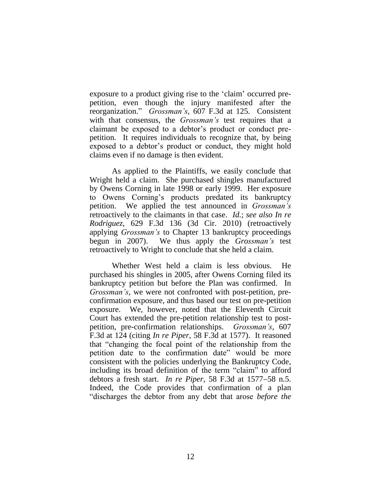exposure to a product giving rise to the "claim" occurred prepetition, even though the injury manifested after the reorganization." *Grossman's*, 607 F.3d at 125. Consistent with that consensus, the *Grossman's* test requires that a claimant be exposed to a debtor"s product or conduct prepetition. It requires individuals to recognize that, by being exposed to a debtor"s product or conduct, they might hold claims even if no damage is then evident.

As applied to the Plaintiffs, we easily conclude that Wright held a claim. She purchased shingles manufactured by Owens Corning in late 1998 or early 1999. Her exposure to Owens Corning"s products predated its bankruptcy petition. We applied the test announced in *Grossman's* retroactively to the claimants in that case. *Id.*; *see also In re Rodriguez*, 629 F.3d 136 (3d Cir. 2010) (retroactively applying *Grossman's* to Chapter 13 bankruptcy proceedings begun in 2007). We thus apply the *Grossman's* test retroactively to Wright to conclude that she held a claim.

Whether West held a claim is less obvious. He purchased his shingles in 2005, after Owens Corning filed its bankruptcy petition but before the Plan was confirmed. In *Grossman's*, we were not confronted with post-petition, preconfirmation exposure, and thus based our test on pre-petition exposure. We, however, noted that the Eleventh Circuit Court has extended the pre-petition relationship test to postpetition, pre-confirmation relationships. *Grossman's*, 607 F.3d at 124 (citing *In re Piper*, 58 F.3d at 1577). It reasoned that "changing the focal point of the relationship from the petition date to the confirmation date" would be more consistent with the policies underlying the Bankruptcy Code, including its broad definition of the term "claim" to afford debtors a fresh start. *In re Piper*, 58 F.3d at 1577–58 n.5. Indeed, the Code provides that confirmation of a plan "discharges the debtor from any debt that arose *before the*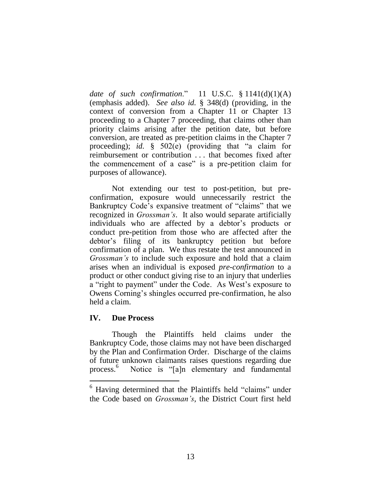*date of such confirmation*." 11 U.S.C. § 1141(d)(1)(A) (emphasis added). *See also id.* § 348(d) (providing, in the context of conversion from a Chapter 11 or Chapter 13 proceeding to a Chapter 7 proceeding, that claims other than priority claims arising after the petition date, but before conversion, are treated as pre-petition claims in the Chapter 7 proceeding); *id.* § 502(e) (providing that "a claim for reimbursement or contribution . . . that becomes fixed after the commencement of a case" is a pre-petition claim for purposes of allowance).

Not extending our test to post-petition, but preconfirmation, exposure would unnecessarily restrict the Bankruptcy Code"s expansive treatment of "claims" that we recognized in *Grossman's*. It also would separate artificially individuals who are affected by a debtor"s products or conduct pre-petition from those who are affected after the debtor"s filing of its bankruptcy petition but before confirmation of a plan. We thus restate the test announced in *Grossman's* to include such exposure and hold that a claim arises when an individual is exposed *pre-confirmation* to a product or other conduct giving rise to an injury that underlies a "right to payment" under the Code. As West"s exposure to Owens Corning"s shingles occurred pre-confirmation, he also held a claim.

## **IV. Due Process**

 $\overline{a}$ 

Though the Plaintiffs held claims under the Bankruptcy Code, those claims may not have been discharged by the Plan and Confirmation Order. Discharge of the claims of future unknown claimants raises questions regarding due process. 6 Notice is "[a]n elementary and fundamental

<sup>&</sup>lt;sup>6</sup> Having determined that the Plaintiffs held "claims" under the Code based on *Grossman's*, the District Court first held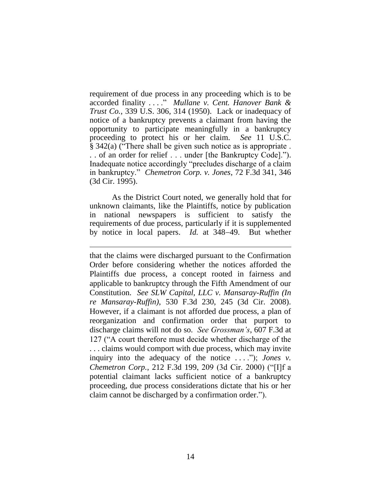requirement of due process in any proceeding which is to be accorded finality . . . ." *Mullane v. Cent. Hanover Bank & Trust Co.*, 339 U.S. 306, 314 (1950). Lack or inadequacy of notice of a bankruptcy prevents a claimant from having the opportunity to participate meaningfully in a bankruptcy proceeding to protect his or her claim. *See* 11 U.S.C. § 342(a) ("There shall be given such notice as is appropriate . . . of an order for relief . . . under [the Bankruptcy Code]."). Inadequate notice accordingly "precludes discharge of a claim in bankruptcy." *Chemetron Corp. v. Jones*, 72 F.3d 341, 346 (3d Cir. 1995).

As the District Court noted, we generally hold that for unknown claimants, like the Plaintiffs, notice by publication in national newspapers is sufficient to satisfy the requirements of due process, particularly if it is supplemented by notice in local papers. *Id.* at 348–49. But whether

 $\overline{a}$ 

that the claims were discharged pursuant to the Confirmation Order before considering whether the notices afforded the Plaintiffs due process, a concept rooted in fairness and applicable to bankruptcy through the Fifth Amendment of our Constitution. *See SLW Capital, LLC v. Mansaray-Ruffin (In re Mansaray-Ruffin)*, 530 F.3d 230, 245 (3d Cir. 2008). However, if a claimant is not afforded due process, a plan of reorganization and confirmation order that purport to discharge claims will not do so. *See Grossman's*, 607 F.3d at 127 ("A court therefore must decide whether discharge of the . . . claims would comport with due process, which may invite inquiry into the adequacy of the notice . . . ."); *Jones v. Chemetron Corp.*, 212 F.3d 199, 209 (3d Cir. 2000) ("[I]f a potential claimant lacks sufficient notice of a bankruptcy proceeding, due process considerations dictate that his or her claim cannot be discharged by a confirmation order.").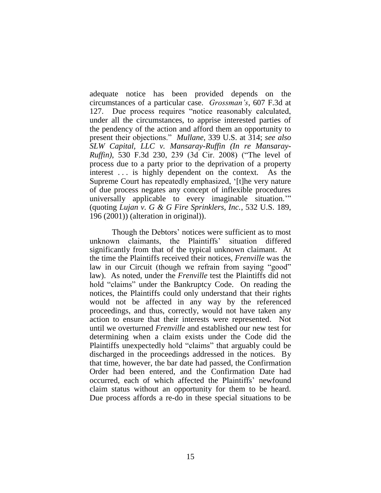adequate notice has been provided depends on the circumstances of a particular case. *Grossman's*, 607 F.3d at 127. Due process requires "notice reasonably calculated, under all the circumstances, to apprise interested parties of the pendency of the action and afford them an opportunity to present their objections." *Mullane*, 339 U.S. at 314; *see also SLW Capital, LLC v. Mansaray-Ruffin (In re Mansaray-Ruffin)*, 530 F.3d 230, 239 (3d Cir. 2008) ("The level of process due to a party prior to the deprivation of a property interest ... is highly dependent on the context. As the Supreme Court has repeatedly emphasized, "[t]he very nature of due process negates any concept of inflexible procedures universally applicable to every imaginable situation."" (quoting *Lujan v. G & G Fire Sprinklers, Inc.*, 532 U.S. 189, 196 (2001)) (alteration in original)).

Though the Debtors' notices were sufficient as to most unknown claimants, the Plaintiffs" situation differed significantly from that of the typical unknown claimant. At the time the Plaintiffs received their notices, *Frenville* was the law in our Circuit (though we refrain from saying "good" law). As noted, under the *Frenville* test the Plaintiffs did not hold "claims" under the Bankruptcy Code. On reading the notices, the Plaintiffs could only understand that their rights would not be affected in any way by the referenced proceedings, and thus, correctly, would not have taken any action to ensure that their interests were represented. Not until we overturned *Frenville* and established our new test for determining when a claim exists under the Code did the Plaintiffs unexpectedly hold "claims" that arguably could be discharged in the proceedings addressed in the notices. By that time, however, the bar date had passed, the Confirmation Order had been entered, and the Confirmation Date had occurred, each of which affected the Plaintiffs" newfound claim status without an opportunity for them to be heard. Due process affords a re-do in these special situations to be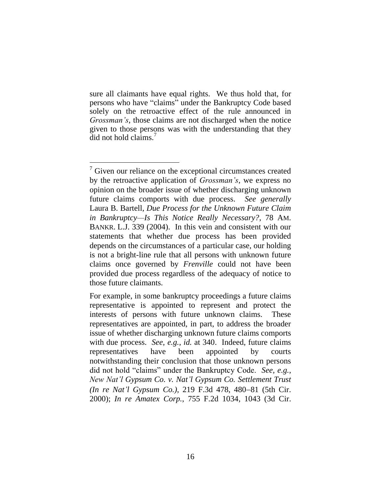sure all claimants have equal rights. We thus hold that, for persons who have "claims" under the Bankruptcy Code based solely on the retroactive effect of the rule announced in *Grossman's*, those claims are not discharged when the notice given to those persons was with the understanding that they did not hold claims.

 $7$  Given our reliance on the exceptional circumstances created by the retroactive application of *Grossman's*, we express no opinion on the broader issue of whether discharging unknown future claims comports with due process. *See generally* Laura B. Bartell, *Due Process for the Unknown Future Claim in Bankruptcy—Is This Notice Really Necessary?*, 78 AM. BANKR. L.J. 339 (2004). In this vein and consistent with our statements that whether due process has been provided depends on the circumstances of a particular case, our holding is not a bright-line rule that all persons with unknown future claims once governed by *Frenville* could not have been provided due process regardless of the adequacy of notice to those future claimants.

For example, in some bankruptcy proceedings a future claims representative is appointed to represent and protect the interests of persons with future unknown claims. These representatives are appointed, in part, to address the broader issue of whether discharging unknown future claims comports with due process. *See, e.g.*, *id.* at 340. Indeed, future claims representatives have been appointed by courts notwithstanding their conclusion that those unknown persons did not hold "claims" under the Bankruptcy Code. *See, e.g.*, *New Nat'l Gypsum Co. v. Nat'l Gypsum Co. Settlement Trust (In re Nat'l Gypsum Co.)*, 219 F.3d 478, 480-81 (5th Cir. 2000); *In re Amatex Corp.*, 755 F.2d 1034, 1043 (3d Cir.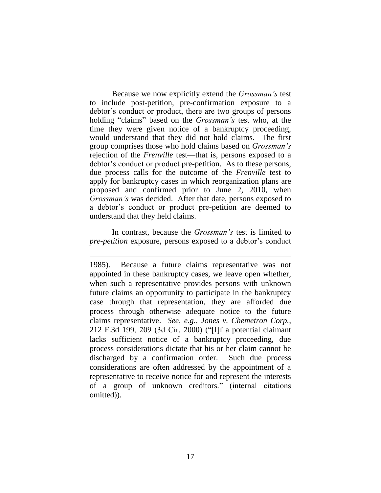Because we now explicitly extend the *Grossman's* test to include post-petition, pre-confirmation exposure to a debtor's conduct or product, there are two groups of persons holding "claims" based on the *Grossman's* test who, at the time they were given notice of a bankruptcy proceeding, would understand that they did not hold claims. The first group comprises those who hold claims based on *Grossman's* rejection of the *Frenville* test—that is, persons exposed to a debtor's conduct or product pre-petition. As to these persons, due process calls for the outcome of the *Frenville* test to apply for bankruptcy cases in which reorganization plans are proposed and confirmed prior to June 2, 2010, when *Grossman's* was decided. After that date, persons exposed to a debtor"s conduct or product pre-petition are deemed to understand that they held claims.

In contrast, because the *Grossman's* test is limited to *pre-petition* exposure, persons exposed to a debtor's conduct

 $\overline{a}$ 

1985). Because a future claims representative was not appointed in these bankruptcy cases, we leave open whether, when such a representative provides persons with unknown future claims an opportunity to participate in the bankruptcy case through that representation, they are afforded due process through otherwise adequate notice to the future claims representative. *See, e.g.*, *Jones v. Chemetron Corp.*, 212 F.3d 199, 209 (3d Cir. 2000) ("[I]f a potential claimant lacks sufficient notice of a bankruptcy proceeding, due process considerations dictate that his or her claim cannot be discharged by a confirmation order. Such due process considerations are often addressed by the appointment of a representative to receive notice for and represent the interests of a group of unknown creditors." (internal citations omitted)).